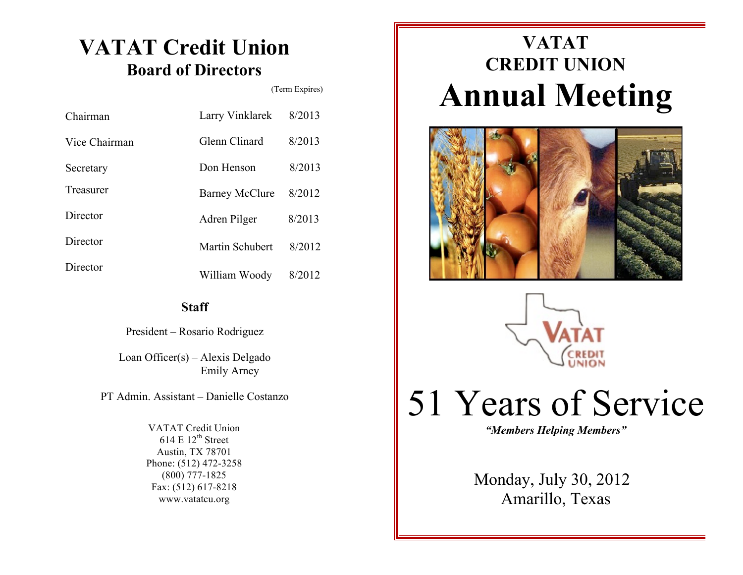### **VATAT Credit Union Board of Directors**

(Term Expires)

| Chairman      | Larry Vinklarek       | 8/2013 |
|---------------|-----------------------|--------|
| Vice Chairman | Glenn Clinard         | 8/2013 |
| Secretary     | Don Henson            | 8/2013 |
| Treasurer     | <b>Barney McClure</b> | 8/2012 |
| Director      | Adren Pilger          | 8/2013 |
| Director      | Martin Schubert       | 8/2012 |
| Director      | William Woody         | 8/2012 |

### **Staff**

President – Rosario Rodriguez

Loan Officer(s) – Alexis Delgado Emily Arney

PT Admin. Assistant – Danielle Costanzo

VATAT Credit Union 614 E  $12^{th}$  Street Austin, TX 78701 Phone: (512) 472-3258 (800) 777-1825 Fax: (512) 617-8218 www.vatatcu.org

## **VATAT CREDIT UNION Annual Meeting**





# 51 Years of Service

*"Members Helping Members"*

Monday, July 30, 2012 Amarillo, Texas